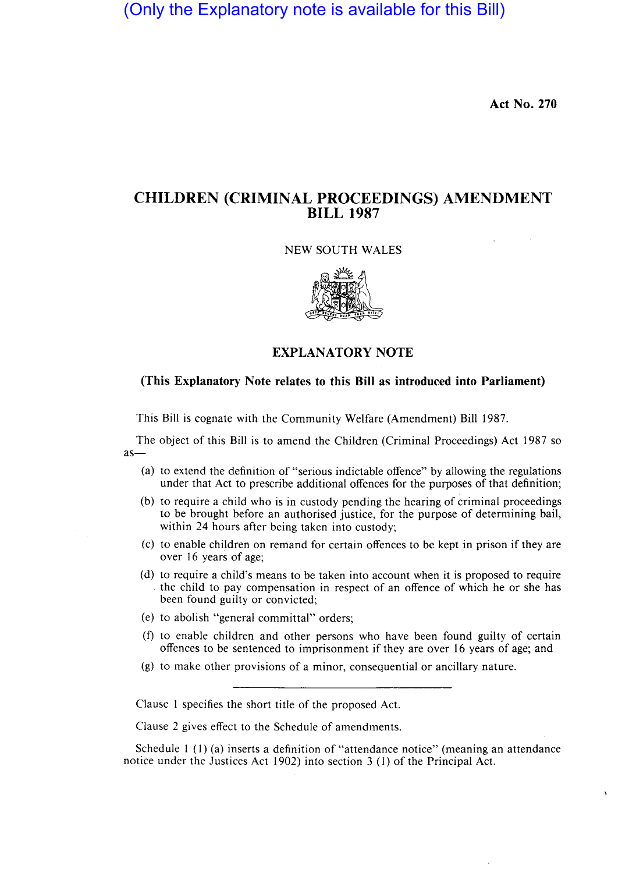(Only the Explanatory note is available for this Bill)

**Act No. 270** 

# **CHILDREN (CRIMINAL PROCEEDINGS) AMENDMENT BILL 1987**

### NEW SOUTH WALES



## **EXPLANATORY NOTE**

### **(This Explanatory Note relates to this Bill as introduced into Parliament)**

This Bill is cognate with the Community Welfare (Amendment) Bill 1987.

The object of this Bill is to amend the Children (Criminal Proceedings) Act 1987 so as-

- (a) to extend the definition of "serious indictable offence" by allowing the regulations under that Act to prescribe additional offences for the purposes of that definition;
- (b) to require a child who is in custody pending the hearing of criminal proceedings to be brought before an authorised justice, for the purpose of determining bail, within 24 hours after being taken into custody;
- (c) to enable children on remand for certain offences to be kept in prison if they are over 16 years of age;
- (d) to require a child's means to be taken into account when it is proposed to require the child to pay compensation in respect of an offence of which he or she has been found guilty or convicted;
- (e) to abolish "general committal" orders;
- (f) to enable children and other persons who have been found guilty of certain offences to be sentenced to imprisonment if they are over 16 years of age; and
- (g) to make other provisions of a minor, consequential or ancillary nature.

Clause I specifies the short title of the proposed Act.

Clause 2 gives effect to the Schedule of amendments.

Schedule 1 (I) (a) inserts a definition of "attendance notice" (meaning an attendance notice under the Justices Act 1902) into section 3 (I) of the Principal Act.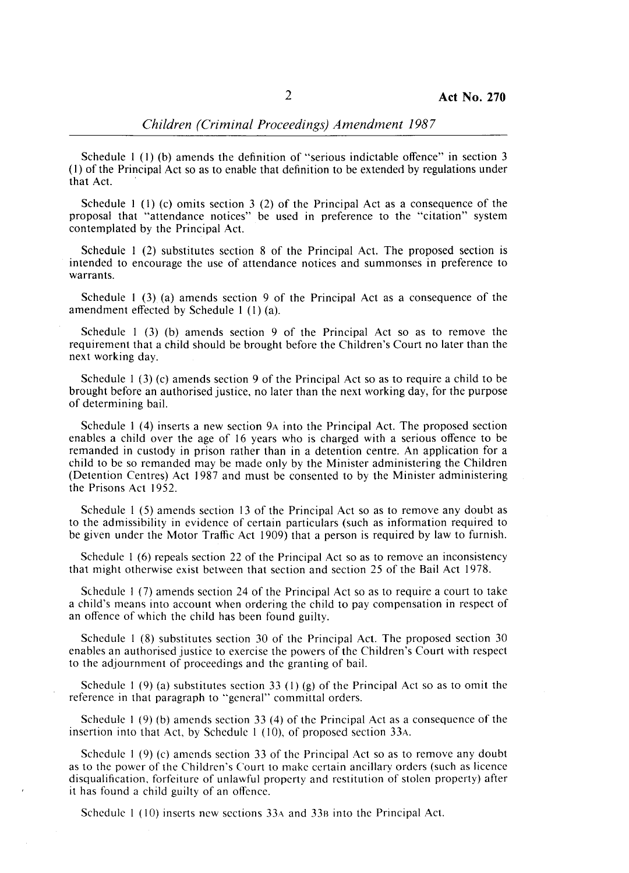### *Children (Criminal Proceedings) Amendment 1987*

Schedule 1 (1) (b) amends the definition of "serious indictable offence" in section 3 (1) of the Principal Act so as to enable that definition to be extended by regulations under that Act.

Schedule 1 (I) (c) omits section 3 (2) of the Principal Act as a consequence of the proposal that "attendance notices" be used in preference to the "citation" system contemplated by the Principal Act.

Schedule I (2) substitutes section 8 of the Principal Act. The proposed section is intended to encourage the use of attendance notices and summonses in preference to warrants.

Schedule 1 (3) (a) amends section 9 of the Principal Act as a consequence of the amendment effected by Schedule 1 (1) (a).

Schedule 1 (3) (b) amends section 9 of the Principal Act so as to remove the requirement that a child should be brought before the Children's Court no later than the next working day.

Schedule 1 (3) (c) amends section 9 of the Principal Act so as to require a child to be brought before an authorised justice, no later than the next working day, for the purpose of determining bail.

Schedule 1 (4) inserts a new section 9A into the Principal Act. The proposed section enables a child over the age of 16 years who is charged with a serious offence to be remanded in custody in prison rather than in a detention centre. An application for a child to be so remanded may be made only by the Minister administering the Children (Detention Centres) Act 1987 and must be consented to by the Minister administering the Prisons Act 1952.

Schedule 1 (5) amends section 13 of the Principal Act so as to remove any doubt as to the admissibility in evidence of certain particulars (such as information required to be given under the Motor Traffic Act 1909) that a person is required by law to furnish.

Schedule 1 (6) repeals section 22 of the Principal Act so as to remove an inconsistency that might otherwise exist between that section and section 25 of the Bail Act 1978.

Schedule I (7) amends section 24 of the Principal Act so as to require a court to take a child's means into account when ordering the child to pay compensation in respect of an offence of which the child has been found guilty.

Schedule 1 (8) substitutes section 30 of the Principal Act. The proposed section 30 enables an authorised justice to exercise the powers of the Children's Court with respect to the adjournment of proceedings and the granting of bail.

Schedule 1 (9) (a) substitutes section 33 (1) (g) of the Principal Act so as to omit the reference in that paragraph to "general" committal orders.

Schedule I (9) (b) amends section 33 (4) of the Principal Act as a consequence of the insertion into that Act, by Schedule 1 (10), of proposed section 33A.

Schedule I (9) (c) amends section 33 of the Principal Act so as to remove any doubt as to the power of the Children's Court to make certain ancillary orders (such as licence disqualification, forfeiture of unlawful property and restitution of stolen property) after it has found a child guilty of an offence.

Schedule 1 (10) inserts new sections 33A and 33B into the Principal Act.